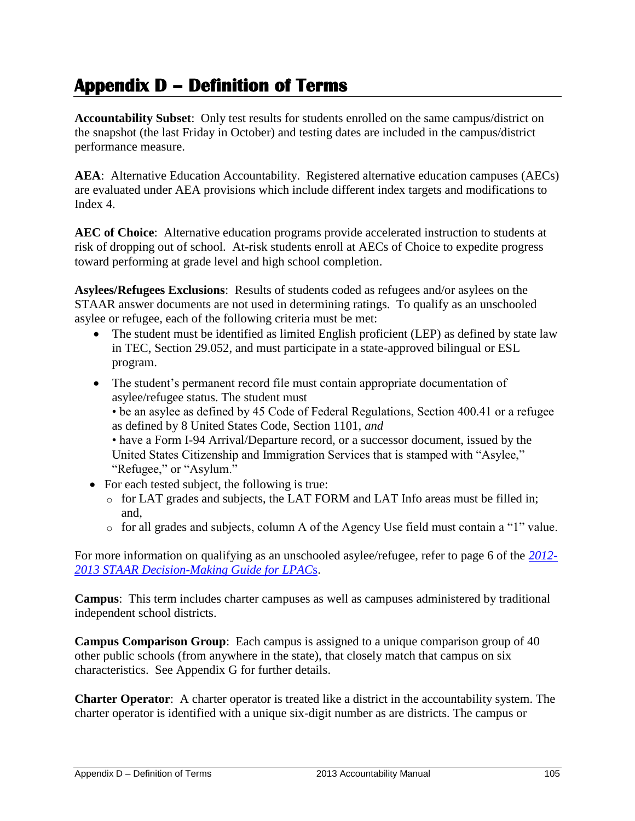## **Appendix D – Definition of Terms**

**Accountability Subset**: Only test results for students enrolled on the same campus/district on the snapshot (the last Friday in October) and testing dates are included in the campus/district performance measure.

**AEA**: Alternative Education Accountability. Registered alternative education campuses (AECs) are evaluated under AEA provisions which include different index targets and modifications to Index 4.

**AEC of Choice**: Alternative education programs provide accelerated instruction to students at risk of dropping out of school. At-risk students enroll at AECs of Choice to expedite progress toward performing at grade level and high school completion.

**Asylees/Refugees Exclusions**: Results of students coded as refugees and/or asylees on the STAAR answer documents are not used in determining ratings. To qualify as an unschooled asylee or refugee, each of the following criteria must be met:

- The student must be identified as limited English proficient (LEP) as defined by state law in TEC, Section 29.052, and must participate in a state-approved bilingual or ESL program.
- The student's permanent record file must contain appropriate documentation of asylee/refugee status. The student must

• be an asylee as defined by 45 Code of Federal Regulations, Section 400.41 or a refugee as defined by 8 United States Code, Section 1101, *and* 

• have a Form I-94 Arrival/Departure record, or a successor document, issued by the United States Citizenship and Immigration Services that is stamped with "Asylee," "Refugee," or "Asylum."

- For each tested subject, the following is true:
	- o for LAT grades and subjects, the LAT FORM and LAT Info areas must be filled in; and,
	- $\circ$  for all grades and subjects, column A of the Agency Use field must contain a "1" value.

For more information on qualifying as an unschooled asylee/refugee, refer to page 6 of the *[2012-](http://www.tea.state.tx.us/WorkArea/linkit.aspx?LinkIdentifier=id&ItemID=2147509359&libID=2147509345) [2013 STAAR Decision-Making Guide for LPAC](http://www.tea.state.tx.us/WorkArea/linkit.aspx?LinkIdentifier=id&ItemID=2147509359&libID=2147509345)*s.

**Campus**: This term includes charter campuses as well as campuses administered by traditional independent school districts.

**Campus Comparison Group**: Each campus is assigned to a unique comparison group of 40 other public schools (from anywhere in the state), that closely match that campus on six characteristics. See Appendix G for further details.

**Charter Operator**: A charter operator is treated like a district in the accountability system. The charter operator is identified with a unique six-digit number as are districts. The campus or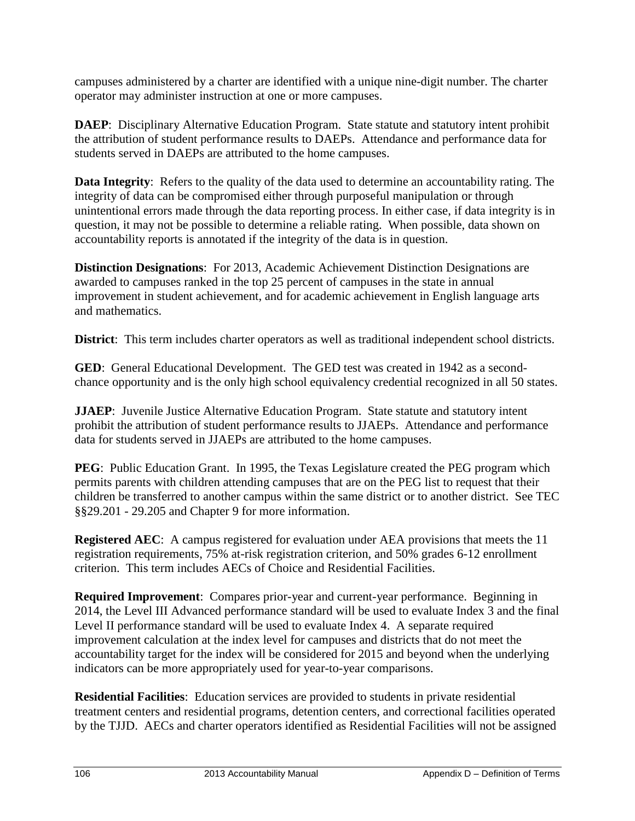campuses administered by a charter are identified with a unique nine-digit number. The charter operator may administer instruction at one or more campuses.

**DAEP**: Disciplinary Alternative Education Program. State statute and statutory intent prohibit the attribution of student performance results to DAEPs. Attendance and performance data for students served in DAEPs are attributed to the home campuses.

**Data Integrity**: Refers to the quality of the data used to determine an accountability rating. The integrity of data can be compromised either through purposeful manipulation or through unintentional errors made through the data reporting process. In either case, if data integrity is in question, it may not be possible to determine a reliable rating. When possible, data shown on accountability reports is annotated if the integrity of the data is in question.

**Distinction Designations**: For 2013, Academic Achievement Distinction Designations are awarded to campuses ranked in the top 25 percent of campuses in the state in annual improvement in student achievement, and for academic achievement in English language arts and mathematics.

**District**: This term includes charter operators as well as traditional independent school districts.

**GED**: General Educational Development. The GED test was created in 1942 as a secondchance opportunity and is the only high school equivalency credential recognized in all 50 states.

**JJAEP**: Juvenile Justice Alternative Education Program. State statute and statutory intent prohibit the attribution of student performance results to JJAEPs. Attendance and performance data for students served in JJAEPs are attributed to the home campuses.

**PEG**: Public Education Grant. In 1995, the Texas Legislature created the PEG program which permits parents with children attending campuses that are on the PEG list to request that their children be transferred to another campus within the same district or to another district. See TEC §§29.201 - 29.205 and Chapter 9 for more information.

**Registered AEC**: A campus registered for evaluation under AEA provisions that meets the 11 registration requirements, 75% at-risk registration criterion, and 50% grades 6-12 enrollment criterion. This term includes AECs of Choice and Residential Facilities.

**Required Improvement**: Compares prior-year and current-year performance. Beginning in 2014, the Level III Advanced performance standard will be used to evaluate Index 3 and the final Level II performance standard will be used to evaluate Index 4. A separate required improvement calculation at the index level for campuses and districts that do not meet the accountability target for the index will be considered for 2015 and beyond when the underlying indicators can be more appropriately used for year-to-year comparisons.

**Residential Facilities**: Education services are provided to students in private residential treatment centers and residential programs, detention centers, and correctional facilities operated by the TJJD. AECs and charter operators identified as Residential Facilities will not be assigned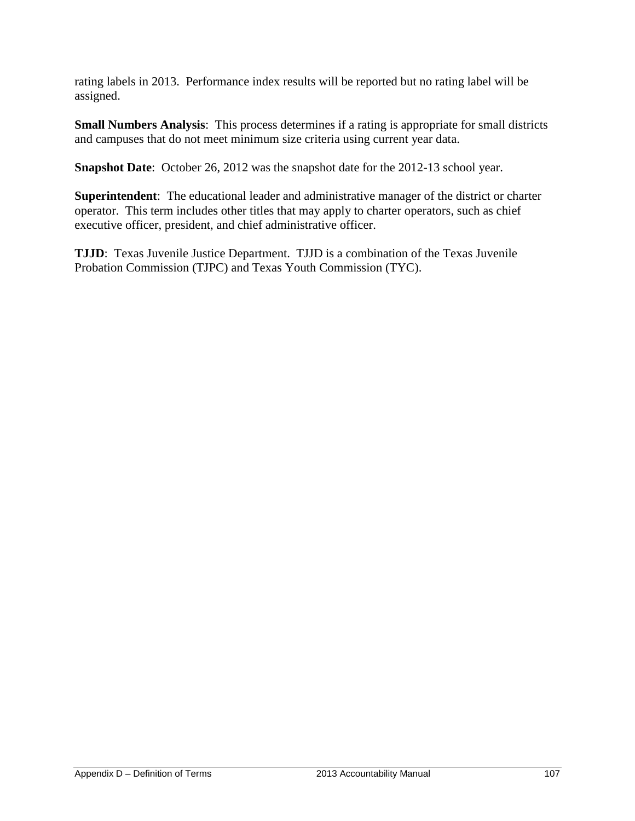rating labels in 2013. Performance index results will be reported but no rating label will be assigned.

**Small Numbers Analysis**: This process determines if a rating is appropriate for small districts and campuses that do not meet minimum size criteria using current year data.

**Snapshot Date**: October 26, 2012 was the snapshot date for the 2012-13 school year.

**Superintendent**: The educational leader and administrative manager of the district or charter operator. This term includes other titles that may apply to charter operators, such as chief executive officer, president, and chief administrative officer.

**TJJD**: Texas Juvenile Justice Department. TJJD is a combination of the Texas Juvenile Probation Commission (TJPC) and Texas Youth Commission (TYC).